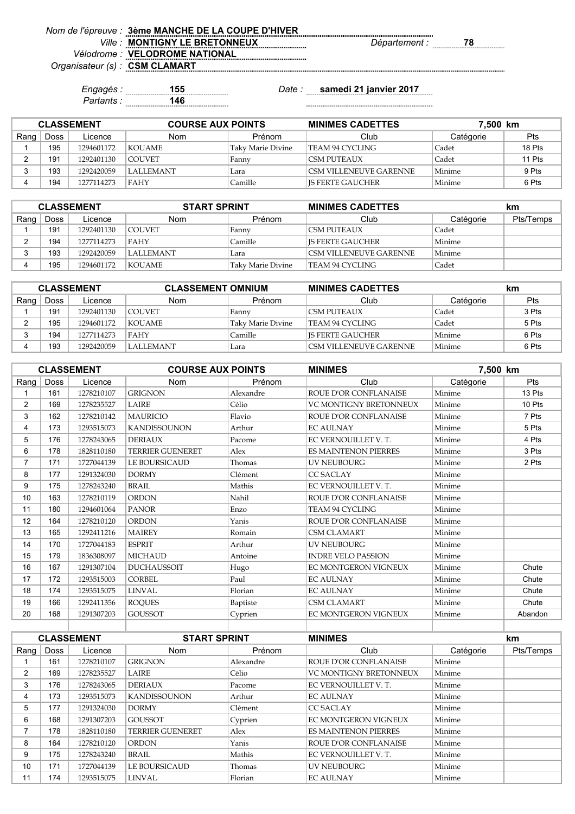| Nom de l'épreuve : 3ème MANCHE DE LA COUPE D'HIVER |                      |  |
|----------------------------------------------------|----------------------|--|
| <b>MONTIGNY LE BRETONNEUX</b>                      | <i>Département :</i> |  |
| Vélodrome : VELODROME NATIONAL                     |                      |  |
| Organisateur (s) : CSM CLAMART                     |                      |  |

*Partants :* **146**

*Engagés :* **155** *Date :* **samedi 21 janvier 2017**

| <b>CLASSEMENT</b> |             |            | <b>COURSE AUX POINTS</b> |                   | <b>MINIMES CADETTES</b> | 7,500 km  |            |
|-------------------|-------------|------------|--------------------------|-------------------|-------------------------|-----------|------------|
| Rang              | <b>Doss</b> | Licence    | <b>Nom</b>               | Prénom            | Club                    | Catégorie | <b>Pts</b> |
|                   | 195         | 1294601172 | <b>KOUAME</b>            | Taky Marie Divine | TEAM 94 CYCLING         | Cadet     | 18 Pts     |
|                   | 191         | 1292401130 | <b>COUVET</b>            | Fanny             | CSM PUTEAUX             | Cadet     | 11 Pts     |
|                   | 193         | 1292420059 | LALLEMANT                | Lara              | CSM VILLENEUVE GARENNE  | Minime    | 9 Pts      |
|                   | 194         | 1277114273 | FAHY                     | Camille           | IS FERTE GAUCHER        | Minime    | 6 Pts      |

| <b>CLASSEMENT</b> |      |            | <b>START SPRINT</b> |                   | <b>MINIMES CADETTES</b>       |           | km        |
|-------------------|------|------------|---------------------|-------------------|-------------------------------|-----------|-----------|
| Rang              | Doss | Licence    | Nom                 | Prénom            | Club                          | Catégorie | Pts/Temps |
|                   | 191  | 1292401130 | COUVET              | . Fannv           | CSM PUTEAUX                   | Cadet     |           |
|                   | 194  | 1277114273 | <b>FAHY</b>         | Camille           | IS FERTE GAUCHER              | Minime    |           |
|                   | 193  | 1292420059 | I LALLEMANT         | Lara              | <b>CSM VILLENEUVE GARENNE</b> | Minime    |           |
|                   | 195  | 1294601172 | KOUAME              | Taky Marie Divine | TEAM 94 CYCLING               | Cadet     |           |

| <b>CLASSEMENT</b> |      |            | <b>CLASSEMENT OMNIUM</b> |                   | <b>MINIMES CADETTES</b> |           | km    |
|-------------------|------|------------|--------------------------|-------------------|-------------------------|-----------|-------|
| Rang              | Doss | Licence    | Nom                      | Prénom            | Club                    | Catégorie | Pts   |
|                   | 191  | 1292401130 | <b>COUVET</b>            | Fanny             | <b>CSM PUTEAUX</b>      | Cadet     | 3 Pts |
|                   | 195  | 1294601172 | KOUAME                   | Taky Marie Divine | TEAM 94 CYCLING         | Cadet     | 5 Pts |
|                   | 194  | 1277114273 | <b>FAHY</b>              | Camille           | IS FERTE GAUCHER        | Minime    | 6 Pts |
|                   | 193  | 1292420059 | I ALLEMANT               | Lara              | CSM VILLENEUVE GARENNE  | Minime    | 6 Pts |

|                |      | <b>CLASSEMENT</b> | <b>COURSE AUX POINTS</b> |           | <b>MINIMES</b>                | 7,500 km  |            |
|----------------|------|-------------------|--------------------------|-----------|-------------------------------|-----------|------------|
| Rang           | Doss | Licence           | <b>Nom</b>               | Prénom    | Club                          | Catégorie | <b>Pts</b> |
|                | 161  | 1278210107        | <b>GRIGNON</b>           | Alexandre | ROUE D'OR CONFLANAISE         | Minime    | 13 Pts     |
| $\overline{2}$ | 169  | 1278235527        | <b>LAIRE</b>             | Célio     | <b>VC MONTIGNY BRETONNEUX</b> | Minime    | 10 Pts     |
| 3              | 162  | 1278210142        | <b>MAURICIO</b>          | Flavio    | ROUE D'OR CONFLANAISE         | Minime    | 7 Pts      |
| 4              | 173  | 1293515073        | <b>KANDISSOUNON</b>      | Arthur    | <b>EC AULNAY</b>              | Minime    | 5 Pts      |
| 5              | 176  | 1278243065        | <b>DERIAUX</b>           | Pacome    | EC VERNOUILLET V.T.           | Minime    | 4 Pts      |
| 6              | 178  | 1828110180        | <b>TERRIER GUENERET</b>  | Alex      | <b>ES MAINTENON PIERRES</b>   | Minime    | 3 Pts      |
| $\overline{7}$ | 171  | 1727044139        | <b>LE BOURSICAUD</b>     | Thomas    | <b>UV NEUBOURG</b>            | Minime    | 2 Pts      |
| 8              | 177  | 1291324030        | <b>DORMY</b>             | Clément   | <b>CC SACLAY</b>              | Minime    |            |
| 9              | 175  | 1278243240        | <b>BRAIL</b>             | Mathis    | EC VERNOUILLET V.T.           | Minime    |            |
| 10             | 163  | 1278210119        | <b>ORDON</b>             | Nahil     | ROUE D'OR CONFLANAISE         | Minime    |            |
| 11             | 180  | 1294601064        | <b>PANOR</b>             | Enzo      | <b>TEAM 94 CYCLING</b>        | Minime    |            |
| 12             | 164  | 1278210120        | <b>ORDON</b>             | Yanis     | ROUE D'OR CONFLANAISE         | Minime    |            |
| 13             | 165  | 1292411216        | <b>MAIREY</b>            | Romain    | <b>CSM CLAMART</b>            | Minime    |            |
| 14             | 170  | 1727044183        | <b>ESPRIT</b>            | Arthur    | <b>UV NEUBOURG</b>            | Minime    |            |
| 15             | 179  | 1836308097        | <b>MICHAUD</b>           | Antoine   | <b>INDRE VELO PASSION</b>     | Minime    |            |
| 16             | 167  | 1291307104        | <b>DUCHAUSSOIT</b>       | Hugo      | EC MONTGERON VIGNEUX          | Minime    | Chute      |
| 17             | 172  | 1293515003        | <b>CORBEL</b>            | Paul      | <b>EC AULNAY</b>              | Minime    | Chute      |
| 18             | 174  | 1293515075        | <b>LINVAL</b>            | Florian   | <b>EC AULNAY</b>              | Minime    | Chute      |
| 19             | 166  | 1292411356        | <b>ROQUES</b>            | Baptiste  | <b>CSM CLAMART</b>            | Minime    | Chute      |
| 20             | 168  | 1291307203        | <b>GOUSSOT</b>           | Cyprien   | EC MONTGERON VIGNEUX          | Minime    | Abandon    |
|                |      |                   |                          |           |                               |           |            |

|                |             | <b>CLASSEMENT</b> | <b>START SPRINT</b>     |           | <b>MINIMES</b>               |           | <b>km</b> |
|----------------|-------------|-------------------|-------------------------|-----------|------------------------------|-----------|-----------|
| Rang           | <b>Doss</b> | Licence           | <b>Nom</b>              | Prénom    | Club                         | Catégorie | Pts/Temps |
|                | 161         | 1278210107        | <b>GRIGNON</b>          | Alexandre | <b>ROUE D'OR CONFLANAISE</b> | Minime    |           |
| $\overline{2}$ | 169         | 1278235527        | <b>LAIRE</b>            | Célio     | VC MONTIGNY BRETONNEUX       | Minime    |           |
| 3              | 176         | 1278243065        | <b>DERIAUX</b>          | Pacome    | EC VERNOUILLET V.T.          | Minime    |           |
| 4              | 173         | 1293515073        | <b>KANDISSOUNON</b>     | Arthur    | <b>EC AULNAY</b>             | Minime    |           |
| 5              | 177         | 1291324030        | <b>DORMY</b>            | Clément   | <b>CC SACLAY</b>             | Minime    |           |
| 6              | 168         | 1291307203        | <b>GOUSSOT</b>          | Cyprien   | <b>EC MONTGERON VIGNEUX</b>  | Minime    |           |
| 7              | 178         | 1828110180        | <b>TERRIER GUENERET</b> | Alex      | <b>ES MAINTENON PIERRES</b>  | Minime    |           |
| 8              | 164         | 1278210120        | <b>ORDON</b>            | Yanis     | <b>ROUE D'OR CONFLANAISE</b> | Minime    |           |
| 9              | 175         | 1278243240        | <b>BRAIL</b>            | Mathis    | EC VERNOUILLET V.T.          | Minime    |           |
| 10             | 171         | 1727044139        | LE BOURSICAUD           | Thomas    | UV NEUBOURG                  | Minime    |           |
| 11             | 174         | 1293515075        | <b>LINVAL</b>           | Florian   | <b>EC AULNAY</b>             | Minime    |           |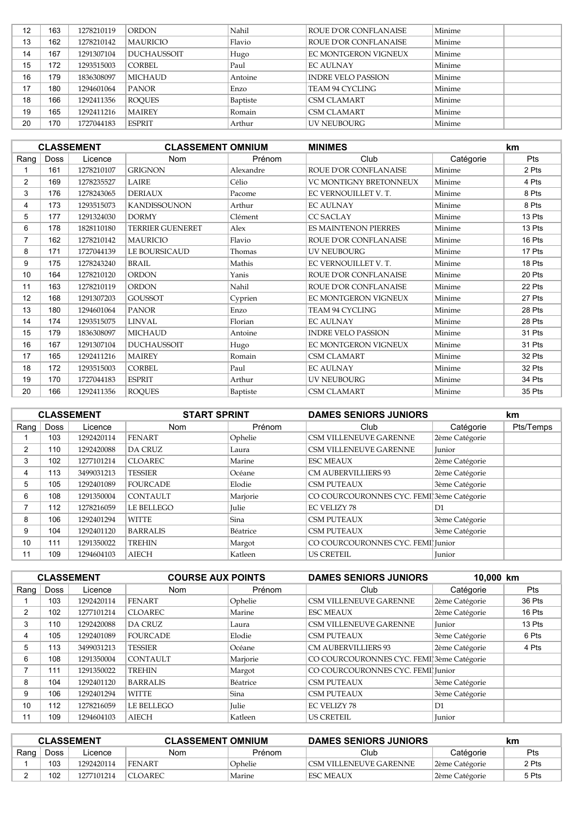| 12 | 163 | 1278210119 | <b>ORDON</b>       | Nahil    | ROUE D'OR CONFLANAISE       | Minime |  |
|----|-----|------------|--------------------|----------|-----------------------------|--------|--|
| 13 | 162 | 1278210142 | <b>MAURICIO</b>    | Flavio   | ROUE D'OR CONFLANAISE       | Minime |  |
| 14 | 167 | 1291307104 | <b>DUCHAUSSOIT</b> | Hugo     | <b>EC MONTGERON VIGNEUX</b> | Minime |  |
| 15 | 172 | 1293515003 | <b>CORBEL</b>      | Paul     | <b>EC AULNAY</b>            | Minime |  |
| 16 | 179 | 1836308097 | <b>MICHAUD</b>     | Antoine  | <b>INDRE VELO PASSION</b>   | Minime |  |
| 17 | 180 | 1294601064 | <b>PANOR</b>       | Enzo     | TEAM 94 CYCLING             | Minime |  |
| 18 | 166 | 1292411356 | <b>ROOUES</b>      | Baptiste | CSM CLAMART                 | Minime |  |
| 19 | 165 | 1292411216 | <b>MAIREY</b>      | Romain   | CSM CLAMART                 | Minime |  |
| 20 | 170 | 1727044183 | <b>ESPRIT</b>      | Arthur   | UV NEUBOURG                 | Minime |  |

|                   |             | <b>CLASSEMENT</b> | <b>CLASSEMENT OMNIUM</b> |           | <b>MINIMES</b>                |           | km         |
|-------------------|-------------|-------------------|--------------------------|-----------|-------------------------------|-----------|------------|
| Rang              | <b>Doss</b> | Licence           | <b>Nom</b>               | Prénom    | Club                          | Catégorie | <b>Pts</b> |
|                   | 161         | 1278210107        | <b>GRIGNON</b>           | Alexandre | ROUE D'OR CONFLANAISE         | Minime    | 2 Pts      |
| $\overline{2}$    | 169         | 1278235527        | LAIRE                    | Célio     | <b>VC MONTIGNY BRETONNEUX</b> | Minime    | 4 Pts      |
| 3                 | 176         | 1278243065        | <b>DERIAUX</b>           | Pacome    | EC VERNOUILLET V.T.           | Minime    | 8 Pts      |
| 4                 | 173         | 1293515073        | <b>KANDISSOUNON</b>      | Arthur    | <b>EC AULNAY</b>              | Minime    | 8 Pts      |
| 5                 | 177         | 1291324030        | <b>DORMY</b>             | Clément   | <b>CC SACLAY</b>              | Minime    | 13 Pts     |
| 6                 | 178         | 1828110180        | <b>TERRIER GUENERET</b>  | Alex      | <b>ES MAINTENON PIERRES</b>   | Minime    | 13 Pts     |
| $\overline{7}$    | 162         | 1278210142        | <b>MAURICIO</b>          | Flavio    | ROUE D'OR CONFLANAISE         | Minime    | 16 Pts     |
| 8                 | 171         | 1727044139        | <b>LE BOURSICAUD</b>     | Thomas    | <b>UV NEUBOURG</b>            | Minime    | 17 Pts     |
| 9                 | 175         | 1278243240        | <b>BRAIL</b>             | Mathis    | EC VERNOUILLET V.T.           | Minime    | 18 Pts     |
| 10                | 164         | 1278210120        | <b>ORDON</b>             | Yanis     | ROUE D'OR CONFLANAISE         | Minime    | 20 Pts     |
| 11                | 163         | 1278210119        | <b>ORDON</b>             | Nahil     | ROUE D'OR CONFLANAISE         | Minime    | 22 Pts     |
| $12 \overline{ }$ | 168         | 1291307203        | <b>GOUSSOT</b>           | Cyprien   | EC MONTGERON VIGNEUX          | Minime    | 27 Pts     |
| 13                | 180         | 1294601064        | <b>PANOR</b>             | Enzo      | TEAM 94 CYCLING               | Minime    | 28 Pts     |
| 14                | 174         | 1293515075        | <b>LINVAL</b>            | Florian   | <b>EC AULNAY</b>              | Minime    | 28 Pts     |
| 15                | 179         | 1836308097        | <b>MICHAUD</b>           | Antoine   | <b>INDRE VELO PASSION</b>     | Minime    | 31 Pts     |
| 16                | 167         | 1291307104        | <b>DUCHAUSSOIT</b>       | Hugo      | EC MONTGERON VIGNEUX          | Minime    | 31 Pts     |
| 17                | 165         | 1292411216        | <b>MAIREY</b>            | Romain    | CSM CLAMART                   | Minime    | 32 Pts     |
| 18                | 172         | 1293515003        | <b>CORBEL</b>            | Paul      | <b>EC AULNAY</b>              | Minime    | 32 Pts     |
| 19                | 170         | 1727044183        | <b>ESPRIT</b>            | Arthur    | <b>UV NEUBOURG</b>            | Minime    | 34 Pts     |
| 20                | 166         | 1292411356        | <b>ROQUES</b>            | Baptiste  | CSM CLAMART                   | Minime    | 35 Pts     |

|          |             | <b>CLASSEMENT</b> | <b>START SPRINT</b> |              | <b>DAMES SENIORS JUNIORS</b>              |                | km        |
|----------|-------------|-------------------|---------------------|--------------|-------------------------------------------|----------------|-----------|
| Rang $ $ | <b>Doss</b> | Licence           | <b>Nom</b>          | Prénom       | Club                                      | Catégorie      | Pts/Temps |
|          | 103         | 1292420114        | <b>FENART</b>       | Ophelie      | CSM VILLENEUVE GARENNE                    | 2ème Catégorie |           |
| 2        | 110         | 1292420088        | <b>DA CRUZ</b>      | Laura        | <b>CSM VILLENEUVE GARENNE</b>             | Junior         |           |
| 3        | 102         | 1277101214        | <b>CLOAREC</b>      | Marine       | <b>ESC MEAUX</b>                          | 2ème Catégorie |           |
| 4        | 113         | 3499031213        | <b>TESSIER</b>      | Océane       | <b>CM AUBERVILLIERS 93</b>                | 2ème Catégorie |           |
| 5        | 105         | 1292401089        | <b>FOURCADE</b>     | Elodie       | <b>CSM PUTEAUX</b>                        | 3ème Catégorie |           |
| 6        | 108         | 1291350004        | <b>CONTAULT</b>     | Marjorie     | CO COURCOURONNES CYC. FEMI 3ème Catégorie |                |           |
|          | 112         | 1278216059        | <b>LE BELLEGO</b>   | <b>Julie</b> | <b>EC VELIZY 78</b>                       | D1             |           |
| 8        | 106         | 1292401294        | <b>WITTE</b>        | Sina         | <b>CSM PUTEAUX</b>                        | 3ème Catégorie |           |
| 9        | 104         | 1292401120        | <b>BARRALIS</b>     | Béatrice     | <b>CSM PUTEAUX</b>                        | 3ème Catégorie |           |
| 10       | 111         | 1291350022        | <b>TREHIN</b>       | Margot       | CO COURCOURONNES CYC. FEMI Junior         |                |           |
| 11       | 109         | 1294604103        | <b>AIECH</b>        | Katleen      | <b>US CRETEIL</b>                         | Junior         |           |

|      |             | <b>CLASSEMENT</b> | <b>COURSE AUX POINTS</b> |              | <b>DAMES SENIORS JUNIORS</b>              |                | 10,000 km  |  |
|------|-------------|-------------------|--------------------------|--------------|-------------------------------------------|----------------|------------|--|
| Rang | <b>Doss</b> | Licence           | <b>Nom</b>               | Prénom       | Club                                      | Catégorie      | <b>Pts</b> |  |
|      | 103         | 1292420114        | <b>FENART</b>            | Ophelie      | <b>CSM VILLENEUVE GARENNE</b>             | 2ème Catégorie | 36 Pts     |  |
| 2    | 102         | 1277101214        | <b>CLOAREC</b>           | Marine       | <b>ESC MEAUX</b>                          | 2ème Catégorie | 16 Pts     |  |
| 3    | 110         | 1292420088        | <b>DA CRUZ</b>           | Laura        | <b>CSM VILLENEUVE GARENNE</b>             | Iunior         | 13 Pts     |  |
| 4    | 105         | 1292401089        | <b>FOURCADE</b>          | Elodie       | <b>CSM PUTEAUX</b>                        | 3ème Catégorie | 6 Pts      |  |
| 5    | 113         | 3499031213        | <b>TESSIER</b>           | Océane       | <b>CM AUBERVILLIERS 93</b>                | 2ème Catégorie | 4 Pts      |  |
| 6    | 108         | 1291350004        | <b>CONTAULT</b>          | Marjorie     | CO COURCOURONNES CYC. FEMI 3ème Catégorie |                |            |  |
|      | 111         | 1291350022        | <b>TREHIN</b>            | Margot       | CO COURCOURONNES CYC. FEMI Junior         |                |            |  |
| 8    | 104         | 1292401120        | <b>BARRALIS</b>          | Béatrice     | <b>CSM PUTEAUX</b>                        | 3ème Catégorie |            |  |
| 9    | 106         | 1292401294        | <b>WITTE</b>             | Sina         | <b>CSM PUTEAUX</b>                        | 3ème Catégorie |            |  |
| 10   | 112         | 1278216059        | <b>LE BELLEGO</b>        | <b>Iulie</b> | <b>EC VELIZY 78</b>                       | D1             |            |  |
| 11   | 109         | 1294604103        | <b>AIECH</b>             | Katleen      | <b>US CRETEIL</b>                         | Junior         |            |  |

| <b>CLASSEMENT</b> |      |            | <b>CLASSEMENT OMNIUM</b> |         | <b>DAMES SENIORS JUNIORS</b> |                | km    |
|-------------------|------|------------|--------------------------|---------|------------------------------|----------------|-------|
| Rang              | Doss | Licence    | Nom                      | Prénom  | Club                         | Catégorie      | Pts   |
|                   | 103  | 1292420114 | <b>FENART</b>            | Ophelie | CSM VILLENEUVE GARENNE       | 2ème Catégorie | 2 Pts |
|                   | 102  | 1277101214 | <b>CLOAREC</b>           | Marine  | <b>ESC MEAUX</b>             | 2ème Catégorie | 5 Pts |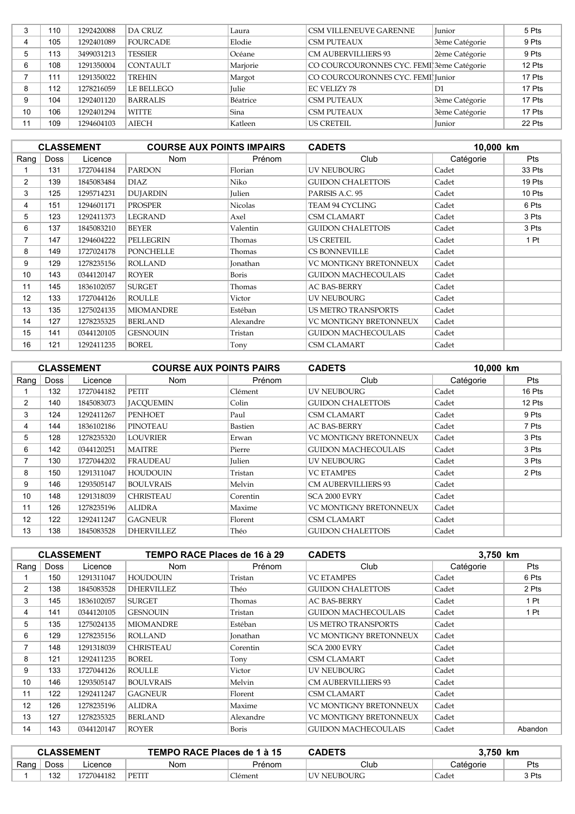|    | 110 | 1292420088 | DA CRUZ         | Laura        | CSM VILLENEUVE GARENNE                    | Junior         | 5 Pts  |
|----|-----|------------|-----------------|--------------|-------------------------------------------|----------------|--------|
|    | 105 | 1292401089 | <b>FOURCADE</b> | Elodie       | <b>CSM PUTEAUX</b>                        | 3ème Catégorie | 9 Pts  |
|    | 113 | 3499031213 | <b>TESSIER</b>  | Océane       | <b>CM AUBERVILLIERS 93</b>                | 2ème Catégorie | 9 Pts  |
| 6  | 108 | 1291350004 | <b>CONTAULT</b> | Marjorie     | CO COURCOURONNES CYC. FEMI 3ème Catégorie |                | 12 Pts |
|    | 111 | 1291350022 | <b>TREHIN</b>   | Margot       | CO COURCOURONNES CYC. FEMI Junior         |                | 17 Pts |
| 8  | 112 | 1278216059 | LE BELLEGO      | <b>Iulie</b> | <b>EC VELIZY 78</b>                       | D1             | 17 Pts |
|    | 104 | 1292401120 | <b>BARRALIS</b> | Béatrice     | <b>CSM PUTEAUX</b>                        | 3ème Catégorie | 17 Pts |
| 10 | 106 | 1292401294 | WITTE           | Sina         | <b>CSM PUTEAUX</b>                        | 3ème Catégorie | 17 Pts |
|    | 109 | 1294604103 | <b>AIECH</b>    | Katleen      | <b>US CRETEIL</b>                         | Iunior         | 22 Pts |

|                 |             | <b>CLASSEMENT</b> | <b>COURSE AUX POINTS IMPAIRS</b> |                | <b>CADETS</b>              | 10,000 km |            |
|-----------------|-------------|-------------------|----------------------------------|----------------|----------------------------|-----------|------------|
| Rang $ $        | <b>Doss</b> | Licence           | Nom                              | Prénom         | Club                       | Catégorie | <b>Pts</b> |
|                 | 131         | 1727044184        | <b>PARDON</b>                    | Florian        | <b>UV NEUBOURG</b>         | Cadet     | 33 Pts     |
| $\overline{2}$  | 139         | 1845083484        | <b>DIAZ</b>                      | Niko           | <b>GUIDON CHALETTOIS</b>   | Cadet     | 19 Pts     |
| 3               | 125         | 1295714231        | <b>DUJARDIN</b>                  | <b>Iulien</b>  | PARISIS A.C. 95            | Cadet     | 10 Pts     |
| 4               | 151         | 1294601171        | <b>PROSPER</b>                   | <b>Nicolas</b> | TEAM 94 CYCLING            | Cadet     | 6 Pts      |
| 5               | 123         | 1292411373        | <b>LEGRAND</b>                   | Axel           | CSM CLAMART                | Cadet     | 3 Pts      |
| 6               | 137         | 1845083210        | <b>BEYER</b>                     | Valentin       | <b>GUIDON CHALETTOIS</b>   | Cadet     | 3 Pts      |
| $\overline{7}$  | 147         | 1294604222        | <b>PELLEGRIN</b>                 | Thomas         | <b>US CRETEIL</b>          | Cadet     | 1 Pt       |
| 8               | 149         | 1727024178        | <b>PONCHELLE</b>                 | Thomas         | <b>CS BONNEVILLE</b>       | Cadet     |            |
| 9               | 129         | 1278235156        | <b>ROLLAND</b>                   | Jonathan       | VC MONTIGNY BRETONNEUX     | Cadet     |            |
| 10              | 143         | 0344120147        | <b>ROYER</b>                     | Boris          | <b>GUIDON MACHECOULAIS</b> | Cadet     |            |
| 11              | 145         | 1836102057        | <b>SURGET</b>                    | Thomas         | <b>AC BAS-BERRY</b>        | Cadet     |            |
| 12 <sup>2</sup> | 133         | 1727044126        | <b>ROULLE</b>                    | Victor         | UV NEUBOURG                | Cadet     |            |
| 13              | 135         | 1275024135        | <b>MIOMANDRE</b>                 | Estéban        | <b>US METRO TRANSPORTS</b> | Cadet     |            |
| 14              | 127         | 1278235325        | <b>BERLAND</b>                   | Alexandre      | VC MONTIGNY BRETONNEUX     | Cadet     |            |
| 15              | 141         | 0344120105        | <b>GESNOUIN</b>                  | Tristan        | <b>GUIDON MACHECOULAIS</b> | Cadet     |            |
| 16              | 121         | 1292411235        | <b>BOREL</b>                     | Tony           | CSM CLAMART                | Cadet     |            |

|                |             | <b>CLASSEMENT</b> | <b>COURSE AUX POINTS PAIRS</b> |               | <b>CADETS</b>                 | 10,000 km |            |
|----------------|-------------|-------------------|--------------------------------|---------------|-------------------------------|-----------|------------|
| Rang           | <b>Doss</b> | Licence           | Nom                            | Prénom        | Club                          | Catégorie | <b>Pts</b> |
|                | 132         | 1727044182        | PETIT                          | Clément       | UV NEUBOURG                   | Cadet     | 16 Pts     |
| $\overline{2}$ | 140         | 1845083073        | <b>JACOUEMIN</b>               | Colin         | <b>GUIDON CHALETTOIS</b>      | Cadet     | 12 Pts     |
| 3              | 124         | 1292411267        | <b>PENHOET</b>                 | Paul          | <b>CSM CLAMART</b>            | Cadet     | 9 Pts      |
| 4              | 144         | 1836102186        | <b>PINOTEAU</b>                | Bastien       | <b>AC BAS-BERRY</b>           | Cadet     | 7 Pts      |
| 5              | 128         | 1278235320        | <b>LOUVRIER</b>                | Erwan         | VC MONTIGNY BRETONNEUX        | Cadet     | 3 Pts      |
| 6              | 142         | 0344120251        | <b>MAITRE</b>                  | Pierre        | <b>GUIDON MACHECOULAIS</b>    | Cadet     | 3 Pts      |
| 7              | 130         | 1727044202        | <b>FRAUDEAU</b>                | <b>Julien</b> | UV NEUBOURG                   | Cadet     | 3 Pts      |
| 8              | 150         | 1291311047        | <b>HOUDOUIN</b>                | Tristan       | <b>VC ETAMPES</b>             | Cadet     | 2 Pts      |
| 9              | 146         | 1293505147        | <b>BOULVRAIS</b>               | Melvin        | <b>CM AUBERVILLIERS 93</b>    | Cadet     |            |
| 10             | 148         | 1291318039        | <b>CHRISTEAU</b>               | Corentin      | SCA 2000 EVRY                 | Cadet     |            |
| 11             | 126         | 1278235196        | <b>ALIDRA</b>                  | Maxime        | <b>VC MONTIGNY BRETONNEUX</b> | Cadet     |            |
| 12             | 122         | 1292411247        | <b>GAGNEUR</b>                 | Florent       | <b>CSM CLAMART</b>            | Cadet     |            |
| 13             | 138         | 1845083528        | <b>DHERVILLEZ</b>              | Théo          | <b>GUIDON CHALETTOIS</b>      | Cadet     |            |

|                |             | <b>CLASSEMENT</b> | TEMPO RACE Places de 16 à 29 |           | <b>CADETS</b>              | 3,750 km  |            |
|----------------|-------------|-------------------|------------------------------|-----------|----------------------------|-----------|------------|
| Rang           | <b>Doss</b> | Licence           | Nom                          | Prénom    | Club                       | Catégorie | <b>Pts</b> |
|                | 150         | 1291311047        | <b>HOUDOUIN</b>              | Tristan   | <b>VC ETAMPES</b>          | Cadet     | 6 Pts      |
| $\overline{2}$ | 138         | 1845083528        | <b>DHERVILLEZ</b>            | Théo      | <b>GUIDON CHALETTOIS</b>   | Cadet     | 2 Pts      |
| 3              | 145         | 1836102057        | <b>SURGET</b>                | Thomas    | AC BAS-BERRY               | Cadet     | 1 Pt       |
| 4              | 141         | 0344120105        | <b>GESNOUIN</b>              | Tristan   | <b>GUIDON MACHECOULAIS</b> | Cadet     | 1 Pt       |
| 5              | 135         | 1275024135        | <b>MIOMANDRE</b>             | Estéban   | <b>US METRO TRANSPORTS</b> | Cadet     |            |
| 6              | 129         | 1278235156        | <b>ROLLAND</b>               | Jonathan  | VC MONTIGNY BRETONNEUX     | Cadet     |            |
|                | 148         | 1291318039        | <b>CHRISTEAU</b>             | Corentin  | SCA 2000 EVRY              | Cadet     |            |
| 8              | 121         | 1292411235        | <b>BOREL</b>                 | Tony      | <b>CSM CLAMART</b>         | Cadet     |            |
| 9              | 133         | 1727044126        | <b>ROULLE</b>                | Victor    | UV NEUBOURG                | Cadet     |            |
| 10             | 146         | 1293505147        | <b>BOULVRAIS</b>             | Melvin    | <b>CM AUBERVILLIERS 93</b> | Cadet     |            |
| 11             | 122         | 1292411247        | GAGNEUR                      | Florent   | <b>CSM CLAMART</b>         | Cadet     |            |
| 12             | 126         | 1278235196        | <b>ALIDRA</b>                | Maxime    | VC MONTIGNY BRETONNEUX     | Cadet     |            |
| 13             | 127         | 1278235325        | <b>BERLAND</b>               | Alexandre | VC MONTIGNY BRETONNEUX     | Cadet     |            |
| 14             | 143         | 0344120147        | <b>ROYER</b>                 | Boris     | <b>GUIDON MACHECOULAIS</b> | Cadet     | Abandon    |

| <b>CLASSEMENT</b> |             |            | TEMPO RACE Places de 1 à 15 |         | <b>CADETS</b> | 3.750 km  |       |
|-------------------|-------------|------------|-----------------------------|---------|---------------|-----------|-------|
| Rang              | <b>Doss</b> | _icence    | Nom                         | Prénom  | Club          | Catégorie | Pts   |
|                   | 132         | 1727044182 | PETIT                       | llément | UV NEUBOURG   | Cadet     | 3 Pts |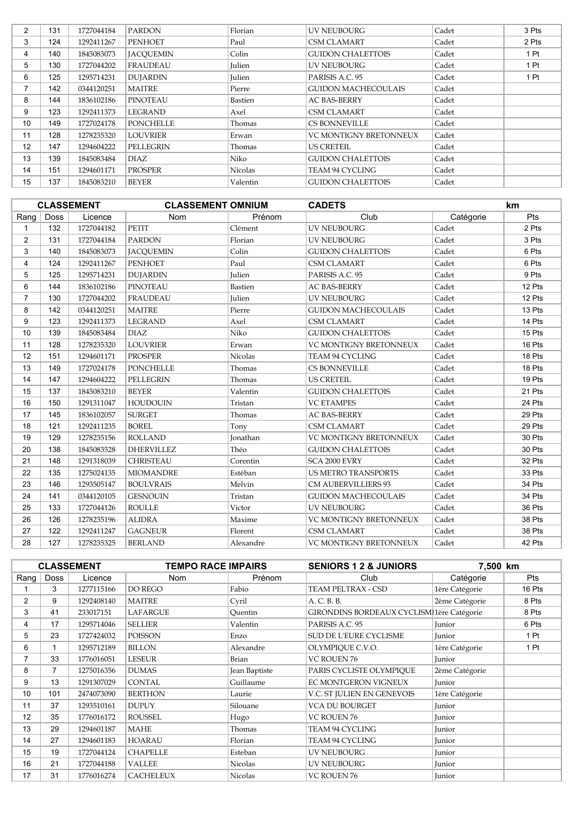| $\overline{2}$ | 131 | 1727044184 | <b>PARDON</b>    | Florian        | UV NEUBOURG                   | Cadet | 3 Pts |
|----------------|-----|------------|------------------|----------------|-------------------------------|-------|-------|
| 3              | 124 | 1292411267 | <b>PENHOET</b>   | Paul           | <b>CSM CLAMART</b>            | Cadet | 2 Pts |
| 4              | 140 | 1845083073 | <b>JACOUEMIN</b> | Colin          | <b>GUIDON CHALETTOIS</b>      | Cadet | 1 Pt  |
| 5              | 130 | 1727044202 | <b>FRAUDEAU</b>  | Julien         | UV NEUBOURG                   | Cadet | 1 Pt  |
| 6              | 125 | 1295714231 | <b>DUJARDIN</b>  | Julien         | PARISIS A.C. 95               | Cadet | 1 Pt  |
| 7              | 142 | 0344120251 | <b>MAITRE</b>    | Pierre         | <b>GUIDON MACHECOULAIS</b>    | Cadet |       |
| 8              | 144 | 1836102186 | <b>PINOTEAU</b>  | Bastien        | <b>AC BAS-BERRY</b>           | Cadet |       |
| 9              | 123 | 1292411373 | <b>LEGRAND</b>   | Axel           | <b>CSM CLAMART</b>            | Cadet |       |
| 10             | 149 | 1727024178 | <b>PONCHELLE</b> | Thomas         | <b>CS BONNEVILLE</b>          | Cadet |       |
| 11             | 128 | 1278235320 | LOUVRIER         | Erwan          | <b>VC MONTIGNY BRETONNEUX</b> | Cadet |       |
| 12             | 147 | 1294604222 | <b>PELLEGRIN</b> | Thomas         | <b>US CRETEIL</b>             | Cadet |       |
| 13             | 139 | 1845083484 | DIAZ             | Niko           | <b>GUIDON CHALETTOIS</b>      | Cadet |       |
| 14             | 151 | 1294601171 | PROSPER          | <b>Nicolas</b> | TEAM 94 CYCLING               | Cadet |       |
| 15             | 137 | 1845083210 | <b>BEYER</b>     | Valentin       | <b>GUIDON CHALETTOIS</b>      | Cadet |       |

|                |      | <b>CLASSEMENT</b> | <b>CLASSEMENT OMNIUM</b> |                 | <b>CADETS</b>              |           | <b>km</b> |
|----------------|------|-------------------|--------------------------|-----------------|----------------------------|-----------|-----------|
| Rang           | Doss | Licence           | Nom                      | Prénom          | Club                       | Catégorie | Pts       |
| 1              | 132  | 1727044182        | <b>PETIT</b>             | Clément         | <b>UV NEUBOURG</b>         | Cadet     | 2 Pts     |
| $\overline{2}$ | 131  | 1727044184        | <b>PARDON</b>            | Florian         | <b>UV NEUBOURG</b>         | Cadet     | 3 Pts     |
| 3              | 140  | 1845083073        | <b>JACOUEMIN</b>         | Colin           | <b>GUIDON CHALETTOIS</b>   | Cadet     | 6 Pts     |
| 4              | 124  | 1292411267        | <b>PENHOET</b>           | Paul            | <b>CSM CLAMART</b>         | Cadet     | 6 Pts     |
| 5              | 125  | 1295714231        | <b>DUJARDIN</b>          | <b>Julien</b>   | PARISIS A.C. 95            | Cadet     | 9 Pts     |
| 6              | 144  | 1836102186        | PINOTEAU                 | Bastien         | <b>AC BAS-BERRY</b>        | Cadet     | 12 Pts    |
| $\overline{7}$ | 130  | 1727044202        | <b>FRAUDEAU</b>          | Julien          | <b>UV NEUBOURG</b>         | Cadet     | 12 Pts    |
| 8              | 142  | 0344120251        | <b>MAITRE</b>            | Pierre          | <b>GUIDON MACHECOULAIS</b> | Cadet     | 13 Pts    |
| 9              | 123  | 1292411373        | <b>LEGRAND</b>           | Axel            | <b>CSM CLAMART</b>         | Cadet     | 14 Pts    |
| 10             | 139  | 1845083484        | <b>DIAZ</b>              | Niko            | <b>GUIDON CHALETTOIS</b>   | Cadet     | 15 Pts    |
| 11             | 128  | 1278235320        | <b>LOUVRIER</b>          | Erwan           | VC MONTIGNY BRETONNEUX     | Cadet     | 16 Pts    |
| 12             | 151  | 1294601171        | <b>PROSPER</b>           | <b>Nicolas</b>  | TEAM 94 CYCLING            | Cadet     | 18 Pts    |
| 13             | 149  | 1727024178        | <b>PONCHELLE</b>         | Thomas          | <b>CS BONNEVILLE</b>       | Cadet     | 18 Pts    |
| 14             | 147  | 1294604222        | PELLEGRIN                | Thomas          | <b>US CRETEIL</b>          | Cadet     | 19 Pts    |
| 15             | 137  | 1845083210        | <b>BEYER</b>             | Valentin        | <b>GUIDON CHALETTOIS</b>   | Cadet     | 21 Pts    |
| 16             | 150  | 1291311047        | <b>HOUDOUIN</b>          | Tristan         | <b>VC ETAMPES</b>          | Cadet     | 24 Pts    |
| 17             | 145  | 1836102057        | <b>SURGET</b>            | Thomas          | <b>AC BAS-BERRY</b>        | Cadet     | 29 Pts    |
| 18             | 121  | 1292411235        | <b>BOREL</b>             | Tony            | <b>CSM CLAMART</b>         | Cadet     | 29 Pts    |
| 19             | 129  | 1278235156        | <b>ROLLAND</b>           | <b>Jonathan</b> | VC MONTIGNY BRETONNEUX     | Cadet     | 30 Pts    |
| 20             | 138  | 1845083528        | <b>DHERVILLEZ</b>        | Théo            | <b>GUIDON CHALETTOIS</b>   | Cadet     | 30 Pts    |
| 21             | 148  | 1291318039        | <b>CHRISTEAU</b>         | Corentin        | SCA 2000 EVRY              | Cadet     | 32 Pts    |
| 22             | 135  | 1275024135        | <b>MIOMANDRE</b>         | Estéban         | <b>US METRO TRANSPORTS</b> | Cadet     | 33 Pts    |
| 23             | 146  | 1293505147        | <b>BOULVRAIS</b>         | Melvin          | <b>CM AUBERVILLIERS 93</b> | Cadet     | 34 Pts    |
| 24             | 141  | 0344120105        | <b>GESNOUIN</b>          | Tristan         | <b>GUIDON MACHECOULAIS</b> | Cadet     | 34 Pts    |
| 25             | 133  | 1727044126        | <b>ROULLE</b>            | Victor          | <b>UV NEUBOURG</b>         | Cadet     | 36 Pts    |
| 26             | 126  | 1278235196        | <b>ALIDRA</b>            | Maxime          | VC MONTIGNY BRETONNEUX     | Cadet     | 38 Pts    |
| 27             | 122  | 1292411247        | <b>GAGNEUR</b>           | Florent         | <b>CSM CLAMART</b>         | Cadet     | 38 Pts    |
| 28             | 127  | 1278235325        | <b>BERLAND</b>           | Alexandre       | VC MONTIGNY BRETONNEUX     | Cadet     | 42 Pts    |

|          |                | <b>CLASSEMENT</b> | <b>TEMPO RACE IMPAIRS</b> |               | <b>SENIORS 1 2 &amp; JUNIORS</b>          | 7,500 km       |        |
|----------|----------------|-------------------|---------------------------|---------------|-------------------------------------------|----------------|--------|
| Rang $ $ | <b>Doss</b>    | Licence           | <b>Nom</b>                | Prénom        | Club                                      | Catégorie      | Pts    |
|          | 3              | 1277115166        | DO REGO                   | Fabio         | TEAM PELTRAX - CSD                        | 1ère Catégorie | 16 Pts |
| 2        | 9              | 1292408140        | <b>MAITRE</b>             | Cyril         | A. C. B. B.                               | 2ème Catégorie | 8 Pts  |
| 3        | 41             | 233017151         | <b>LAFARGUE</b>           | Quentin       | GIRONDINS BORDEAUX CYCLISM 1ère Catégorie |                | 8 Pts  |
| 4        | 17             | 1295714046        | <b>SELLIER</b>            | Valentin      | PARISIS A.C. 95                           | Junior         | 6 Pts  |
| 5        | 23             | 1727424032        | <b>POISSON</b>            | Enzo          | <b>SUD DE L'EURE CYCLISME</b>             | Junior         | 1 Pt   |
| 6        |                | 1295712189        | <b>BILLON</b>             | Alexandre     | OLYMPIOUE C.V.O.                          | 1ère Catégorie | 1 Pt   |
| 7        | 33             | 1776016051        | <b>LESEUR</b>             | <b>Brian</b>  | VC ROUEN 76                               | Junior         |        |
| 8        | $\overline{7}$ | 1275016356        | <b>DUMAS</b>              | Jean Baptiste | PARIS CYCLISTE OLYMPIQUE                  | 2ème Catégorie |        |
| 9        | 13             | 1291307029        | <b>CONTAL</b>             | Guillaume     | EC MONTGERON VIGNEUX                      | Junior         |        |
| 10       | 101            | 2474073090        | <b>BERTHON</b>            | Laurie        | V.C. ST JULIEN EN GENEVOIS                | 1ère Catégorie |        |
| 11       | 37             | 1293510161        | <b>DUPUY</b>              | Silouane      | VCA DU BOURGET                            | Junior         |        |
| 12       | 35             | 1776016172        | <b>ROUSSEL</b>            | Hugo          | VC ROUEN 76                               | Junior         |        |
| 13       | 29             | 1294601187        | <b>MAHE</b>               | Thomas        | <b>TEAM 94 CYCLING</b>                    | Junior         |        |
| 14       | 27             | 1294601183        | <b>HOARAU</b>             | Florian       | TEAM 94 CYCLING                           | Junior         |        |
| 15       | 19             | 1727044124        | <b>CHAPELLE</b>           | Esteban       | <b>UV NEUBOURG</b>                        | Junior         |        |
| 16       | 21             | 1727044188        | <b>VALLEE</b>             | Nicolas       | UV NEUBOURG                               | Junior         |        |
| 17       | 31             | 1776016274        | <b>CACHELEUX</b>          | Nicolas       | VC ROUEN 76                               | Junior         |        |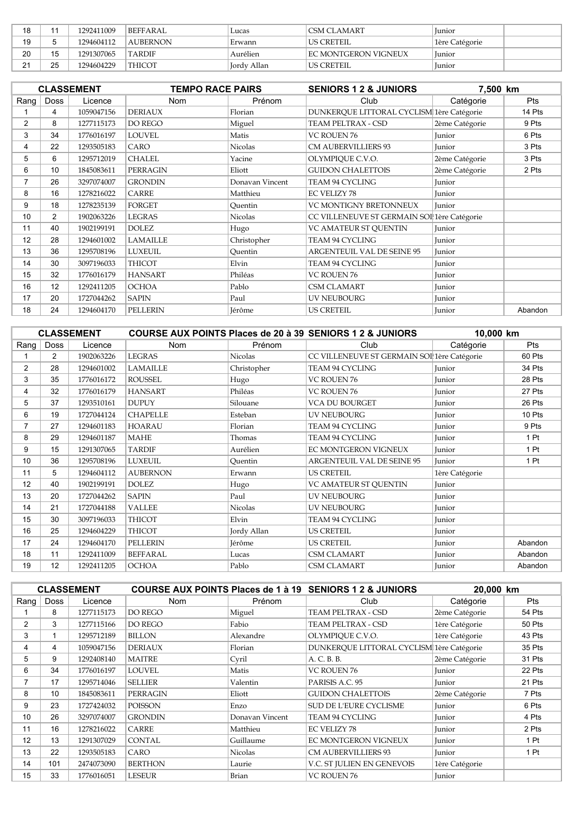| 18             |    | 1292411009 | BEFFARAL.       | Lucas       | <b>CSM CLAMART</b>   | lunior         |
|----------------|----|------------|-----------------|-------------|----------------------|----------------|
| 19             |    | 1294604112 | <b>AUBERNON</b> | Erwann      | US CRETEIL           | 1ère Catégorie |
| 20             | 15 | 1291307065 | <b>TARDIF</b>   | Aurélien    | EC MONTGERON VIGNEUX | Junior         |
| 21<br><u>.</u> | 25 | 1294604229 | THICOT          | Jordy Allan | 'US CRETEIL          | Junior         |

|                |                | <b>CLASSEMENT</b> | <b>TEMPO RACE PAIRS</b> |                 | <b>SENIORS 1 2 &amp; JUNIORS</b>            | 7,500 km       |         |
|----------------|----------------|-------------------|-------------------------|-----------------|---------------------------------------------|----------------|---------|
| Rang           | Doss           | Licence           | <b>Nom</b>              | Prénom          | Club                                        | Catégorie      | Pts     |
|                | 4              | 1059047156        | <b>DERIAUX</b>          | Florian         | DUNKERQUE LITTORAL CYCLISM 1ère Catégorie   |                | 14 Pts  |
| $\overline{2}$ | 8              | 1277115173        | DO REGO                 | Miguel          | TEAM PELTRAX - CSD                          | 2ème Catégorie | 9 Pts   |
| 3              | 34             | 1776016197        | <b>LOUVEL</b>           | Matis           | <b>VC ROUEN 76</b>                          | Junior         | 6 Pts   |
| 4              | 22             | 1293505183        | CARO                    | <b>Nicolas</b>  | <b>CM AUBERVILLIERS 93</b>                  | Junior         | 3 Pts   |
| 5              | 6              | 1295712019        | <b>CHALEL</b>           | Yacine          | OLYMPIQUE C.V.O.                            | 2ème Catégorie | 3 Pts   |
| 6              | 10             | 1845083611        | <b>PERRAGIN</b>         | Eliott          | <b>GUIDON CHALETTOIS</b>                    | 2ème Catégorie | 2 Pts   |
| $\overline{7}$ | 26             | 3297074007        | <b>GRONDIN</b>          | Donavan Vincent | TEAM 94 CYCLING                             | Junior         |         |
| 8              | 16             | 1278216022        | CARRE                   | Matthieu        | <b>EC VELIZY 78</b>                         | Junior         |         |
| 9              | 18             | 1278235139        | <b>FORGET</b>           | Ouentin         | <b>VC MONTIGNY BRETONNEUX</b>               | Junior         |         |
| 10             | $\overline{2}$ | 1902063226        | <b>LEGRAS</b>           | Nicolas         | CC VILLENEUVE ST GERMAIN SOI 1ère Catégorie |                |         |
| 11             | 40             | 1902199191        | <b>DOLEZ</b>            | Hugo            | VC AMATEUR ST OUENTIN                       | Junior         |         |
| 12             | 28             | 1294601002        | <b>LAMAILLE</b>         | Christopher     | <b>TEAM 94 CYCLING</b>                      | Junior         |         |
| 13             | 36             | 1295708196        | <b>LUXEUIL</b>          | Ouentin         | <b>ARGENTEUIL VAL DE SEINE 95</b>           | Junior         |         |
| 14             | 30             | 3097196033        | <b>THICOT</b>           | Elvin           | TEAM 94 CYCLING                             | Junior         |         |
| 15             | 32             | 1776016179        | <b>HANSART</b>          | Philéas         | VC ROUEN 76                                 | Junior         |         |
| 16             | 12             | 1292411205        | <b>OCHOA</b>            | Pablo           | <b>CSM CLAMART</b>                          | Junior         |         |
| 17             | 20             | 1727044262        | <b>SAPIN</b>            | Paul            | <b>UV NEUBOURG</b>                          | Junior         |         |
| 18             | 24             | 1294604170        | <b>PELLERIN</b>         | Jérôme          | <b>US CRETEIL</b>                           | Junior         | Abandon |

|                |                | <b>CLASSEMENT</b> |                 |                | COURSE AUX POINTS Places de 20 à 39 SENIORS 1 2 & JUNIORS | 10,000 km      |         |
|----------------|----------------|-------------------|-----------------|----------------|-----------------------------------------------------------|----------------|---------|
| Rang $ $       | <b>Doss</b>    | Licence           | <b>Nom</b>      | Prénom         | Club                                                      | Catégorie      | Pts     |
|                | $\overline{2}$ | 1902063226        | <b>LEGRAS</b>   | Nicolas        | CC VILLENEUVE ST GERMAIN SOI 1ère Catégorie               |                | 60 Pts  |
| $\overline{2}$ | 28             | 1294601002        | <b>LAMAILLE</b> | Christopher    | TEAM 94 CYCLING                                           | Junior         | 34 Pts  |
| 3              | 35             | 1776016172        | <b>ROUSSEL</b>  | Hugo           | VC ROUEN 76                                               | Junior         | 28 Pts  |
| 4              | 32             | 1776016179        | <b>HANSART</b>  | Philéas        | VC ROUEN 76                                               | Junior         | 27 Pts  |
| 5              | 37             | 1293510161        | <b>DUPUY</b>    | Silouane       | VCA DU BOURGET                                            | Junior         | 26 Pts  |
| 6              | 19             | 1727044124        | <b>CHAPELLE</b> | Esteban        | UV NEUBOURG                                               | Junior         | 10 Pts  |
| $\overline{7}$ | 27             | 1294601183        | <b>HOARAU</b>   | Florian        | TEAM 94 CYCLING                                           | Junior         | 9 Pts   |
| 8              | 29             | 1294601187        | <b>MAHE</b>     | Thomas         | TEAM 94 CYCLING                                           | Junior         | 1 Pt    |
| 9              | 15             | 1291307065        | <b>TARDIF</b>   | Aurélien       | EC MONTGERON VIGNEUX                                      | Junior         | 1 Pt    |
| 10             | 36             | 1295708196        | <b>LUXEUIL</b>  | Ouentin        | ARGENTEUIL VAL DE SEINE 95                                | Junior         | 1 Pt    |
| 11             | 5              | 1294604112        | <b>AUBERNON</b> | Erwann         | <b>US CRETEIL</b>                                         | 1ère Catégorie |         |
| 12             | 40             | 1902199191        | <b>DOLEZ</b>    | Hugo           | VC AMATEUR ST OUENTIN                                     | Junior         |         |
| 13             | 20             | 1727044262        | <b>SAPIN</b>    | Paul           | <b>UV NEUBOURG</b>                                        | Junior         |         |
| 14             | 21             | 1727044188        | <b>VALLEE</b>   | <b>Nicolas</b> | UV NEUBOURG                                               | Junior         |         |
| 15             | 30             | 3097196033        | THICOT          | Elvin          | TEAM 94 CYCLING                                           | Junior         |         |
| 16             | 25             | 1294604229        | THICOT          | Jordy Allan    | <b>US CRETEIL</b>                                         | Junior         |         |
| 17             | 24             | 1294604170        | <b>PELLERIN</b> | Jérôme         | <b>US CRETEIL</b>                                         | Junior         | Abandon |
| 18             | 11             | 1292411009        | <b>BEFFARAL</b> | Lucas          | <b>CSM CLAMART</b>                                        | Junior         | Abandon |
| 19             | 12             | 1292411205        | <b>OCHOA</b>    | Pablo          | <b>CSM CLAMART</b>                                        | Junior         | Abandon |

|                |                 | <b>CLASSEMENT</b> |                 |                 | COURSE AUX POINTS Places de 1 à 19 SENIORS 1 2 & JUNIORS | 20,000 km      |        |
|----------------|-----------------|-------------------|-----------------|-----------------|----------------------------------------------------------|----------------|--------|
| Rang           | <b>Doss</b>     | Licence           | Nom             | Prénom          | Club                                                     | Catégorie      | Pts    |
|                | 8               | 1277115173        | DO REGO         | Miguel          | <b>TEAM PELTRAX - CSD</b>                                | 2ème Catégorie | 54 Pts |
| $\overline{2}$ | 3               | 1277115166        | DO REGO         | Fabio           | TEAM PELTRAX - CSD                                       | 1ère Catégorie | 50 Pts |
| 3              |                 | 1295712189        | <b>BILLON</b>   | Alexandre       | OLYMPIOUE C.V.O.                                         | 1ère Catégorie | 43 Pts |
| 4              | 4               | 1059047156        | DERIAUX         | Florian         | DUNKEROUE LITTORAL CYCLISM 1ère Catégorie                |                | 35 Pts |
| 5              | 9               | 1292408140        | <b>MAITRE</b>   | Cyril           | A. C. B. B.                                              | 2ème Catégorie | 31 Pts |
| 6              | 34              | 1776016197        | LOUVEL          | Matis           | VC ROUEN 76                                              | Junior         | 22 Pts |
|                | 17              | 1295714046        | <b>SELLIER</b>  | Valentin        | PARISIS A.C. 95                                          | Junior         | 21 Pts |
| 8              | 10 <sup>1</sup> | 1845083611        | <b>PERRAGIN</b> | Eliott          | <b>GUIDON CHALETTOIS</b>                                 | 2ème Catégorie | 7 Pts  |
| 9              | 23              | 1727424032        | <b>POISSON</b>  | Enzo            | SUD DE L'EURE CYCLISME                                   | Junior         | 6 Pts  |
| 10             | 26              | 3297074007        | <b>GRONDIN</b>  | Donavan Vincent | TEAM 94 CYCLING                                          | Junior         | 4 Pts  |
| 11             | 16              | 1278216022        | <b>CARRE</b>    | Matthieu        | <b>EC VELIZY 78</b>                                      | Junior         | 2 Pts  |
| 12             | 13              | 1291307029        | <b>CONTAL</b>   | Guillaume       | EC MONTGERON VIGNEUX                                     | Junior         | 1 Pt   |
| 13             | 22              | 1293505183        | CARO            | <b>Nicolas</b>  | <b>CM AUBERVILLIERS 93</b>                               | Junior         | 1 Pt   |
| 14             | 101             | 2474073090        | <b>BERTHON</b>  | Laurie          | V.C. ST JULIEN EN GENEVOIS                               | 1ère Catégorie |        |
| 15             | 33              | 1776016051        | LESEUR          | <b>Brian</b>    | VC ROUEN 76                                              | Junior         |        |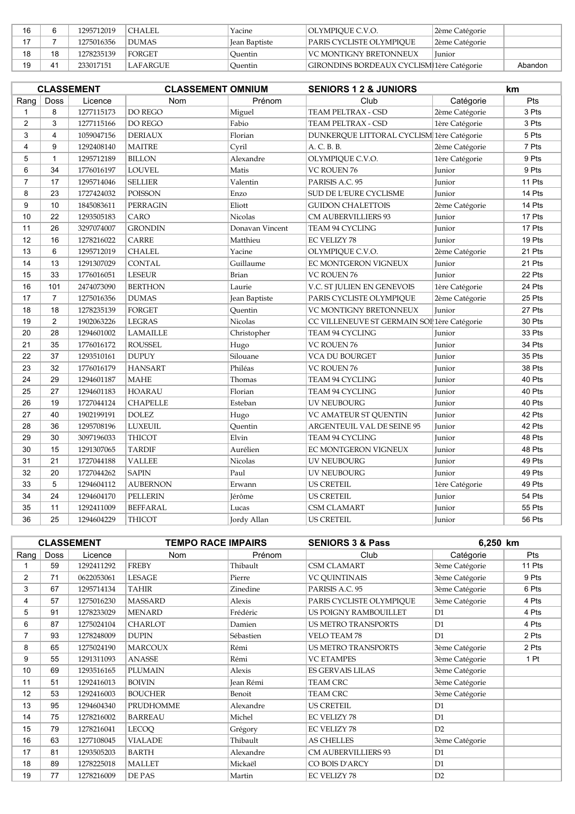| 16 |    | 1295712019 | <b>CHALEL</b> | Yacine         | OLYMPIOUE C.V.O.                                 | 2ème Catégorie |         |
|----|----|------------|---------------|----------------|--------------------------------------------------|----------------|---------|
|    |    | 1275016356 | DUMAS         | Jean Baptiste  | PARIS CYCLISTE OLYMPIOUE                         | 2ème Catégorie |         |
| 18 | 18 | 1278235139 | <b>FORGET</b> | <b>Ouentin</b> | VC MONTIGNY BRETONNEUX                           | Junior         |         |
| 19 |    | 233017151  | LAFARGUE      | <b>Ouentin</b> | <b>GIRONDINS BORDEAUX CYCLISM 1ère Catégorie</b> |                | Abandon |

|                | <b>CLASSEMENT</b> |            | <b>CLASSEMENT OMNIUM</b> |                 | <b>SENIORS 1 2 &amp; JUNIORS</b>            |                | km     |
|----------------|-------------------|------------|--------------------------|-----------------|---------------------------------------------|----------------|--------|
| Rang           | Doss              | Licence    | <b>Nom</b>               | Prénom          | Club                                        | Catégorie      | Pts    |
| 1              | 8                 | 1277115173 | DO REGO                  | Miguel          | TEAM PELTRAX - CSD                          | 2ème Catégorie | 3 Pts  |
| $\overline{2}$ | 3                 | 1277115166 | DO REGO                  | Fabio           | TEAM PELTRAX - CSD                          | 1ère Catégorie | 3 Pts  |
| 3              | $\overline{4}$    | 1059047156 | <b>DERIAUX</b>           | Florian         | DUNKERQUE LITTORAL CYCLISM 1ère Catégorie   |                | 5 Pts  |
| 4              | 9                 | 1292408140 | <b>MAITRE</b>            | Cyril           | A. C. B. B.                                 | 2ème Catégorie | 7 Pts  |
| 5              | $\mathbf{1}$      | 1295712189 | <b>BILLON</b>            | Alexandre       | OLYMPIQUE C.V.O.                            | 1ère Catégorie | 9 Pts  |
| 6              | 34                | 1776016197 | <b>LOUVEL</b>            | Matis           | <b>VC ROUEN 76</b>                          | Junior         | 9 Pts  |
| $\overline{7}$ | 17                | 1295714046 | <b>SELLIER</b>           | Valentin        | PARISIS A.C. 95                             | Junior         | 11 Pts |
| 8              | 23                | 1727424032 | <b>POISSON</b>           | Enzo            | SUD DE L'EURE CYCLISME                      | Junior         | 14 Pts |
| 9              | 10                | 1845083611 | PERRAGIN                 | Eliott          | <b>GUIDON CHALETTOIS</b>                    | 2ème Catégorie | 14 Pts |
| 10             | 22                | 1293505183 | CARO                     | Nicolas         | <b>CM AUBERVILLIERS 93</b>                  | Junior         | 17 Pts |
| 11             | 26                | 3297074007 | <b>GRONDIN</b>           | Donavan Vincent | TEAM 94 CYCLING                             | Junior         | 17 Pts |
| 12             | 16                | 1278216022 | CARRE                    | Matthieu        | <b>EC VELIZY 78</b>                         | Junior         | 19 Pts |
| 13             | 6                 | 1295712019 | <b>CHALEL</b>            | Yacine          | OLYMPIQUE C.V.O.                            | 2ème Catégorie | 21 Pts |
| 14             | 13                | 1291307029 | <b>CONTAL</b>            | Guillaume       | EC MONTGERON VIGNEUX                        | Junior         | 21 Pts |
| 15             | 33                | 1776016051 | <b>LESEUR</b>            | <b>Brian</b>    | <b>VC ROUEN 76</b>                          | Junior         | 22 Pts |
| 16             | 101               | 2474073090 | <b>BERTHON</b>           | Laurie          | V.C. ST JULIEN EN GENEVOIS                  | 1ère Catégorie | 24 Pts |
| 17             | $\overline{7}$    | 1275016356 | <b>DUMAS</b>             | Jean Baptiste   | PARIS CYCLISTE OLYMPIQUE                    | 2ème Catégorie | 25 Pts |
| 18             | 18                | 1278235139 | <b>FORGET</b>            | Quentin         | VC MONTIGNY BRETONNEUX                      | Junior         | 27 Pts |
| 19             | $\overline{2}$    | 1902063226 | <b>LEGRAS</b>            | Nicolas         | CC VILLENEUVE ST GERMAIN SOI 1ère Catégorie |                | 30 Pts |
| 20             | 28                | 1294601002 | <b>LAMAILLE</b>          | Christopher     | TEAM 94 CYCLING                             | Junior         | 33 Pts |
| 21             | 35                | 1776016172 | <b>ROUSSEL</b>           | Hugo            | <b>VC ROUEN 76</b>                          | Junior         | 34 Pts |
| 22             | 37                | 1293510161 | <b>DUPUY</b>             | Silouane        | VCA DU BOURGET                              | Junior         | 35 Pts |
| 23             | 32                | 1776016179 | <b>HANSART</b>           | Philéas         | VC ROUEN 76                                 | Junior         | 38 Pts |
| 24             | 29                | 1294601187 | <b>MAHE</b>              | Thomas          | TEAM 94 CYCLING                             | Junior         | 40 Pts |
| 25             | 27                | 1294601183 | <b>HOARAU</b>            | Florian         | TEAM 94 CYCLING                             | Junior         | 40 Pts |
| 26             | 19                | 1727044124 | <b>CHAPELLE</b>          | Esteban         | UV NEUBOURG                                 | Junior         | 40 Pts |
| 27             | 40                | 1902199191 | <b>DOLEZ</b>             | Hugo            | VC AMATEUR ST QUENTIN                       | Junior         | 42 Pts |
| 28             | 36                | 1295708196 | <b>LUXEUIL</b>           | Quentin         | ARGENTEUIL VAL DE SEINE 95                  | Junior         | 42 Pts |
| 29             | 30                | 3097196033 | THICOT                   | Elvin           | TEAM 94 CYCLING                             | Junior         | 48 Pts |
| 30             | 15                | 1291307065 | TARDIF                   | Aurélien        | EC MONTGERON VIGNEUX                        | Junior         | 48 Pts |
| 31             | 21                | 1727044188 | <b>VALLEE</b>            | Nicolas         | UV NEUBOURG                                 | Junior         | 49 Pts |
| 32             | 20                | 1727044262 | <b>SAPIN</b>             | Paul            | UV NEUBOURG                                 | Junior         | 49 Pts |
| 33             | 5                 | 1294604112 | <b>AUBERNON</b>          | Erwann          | <b>US CRETEIL</b>                           | 1ère Catégorie | 49 Pts |
| 34             | 24                | 1294604170 | <b>PELLERIN</b>          | Jérôme          | <b>US CRETEIL</b>                           | Junior         | 54 Pts |
| 35             | 11                | 1292411009 | <b>BEFFARAL</b>          | Lucas           | <b>CSM CLAMART</b>                          | Junior         | 55 Pts |
| 36             | 25                | 1294604229 | <b>THICOT</b>            | Jordy Allan     | <b>US CRETEIL</b>                           | Junior         | 56 Pts |

|                |      | <b>CLASSEMENT</b> | <b>TEMPO RACE IMPAIRS</b> |           | <b>SENIORS 3 &amp; Pass</b> | 6.250 km       |        |
|----------------|------|-------------------|---------------------------|-----------|-----------------------------|----------------|--------|
| Rang           | Doss | Licence           | <b>Nom</b>                | Prénom    | Club                        | Catégorie      | Pts    |
|                | 59   | 1292411292        | <b>FREBY</b>              | Thibault  | <b>CSM CLAMART</b>          | 3ème Catégorie | 11 Pts |
| $\overline{2}$ | 71   | 0622053061        | <b>LESAGE</b>             | Pierre    | VC QUINTINAIS               | 3ème Catégorie | 9 Pts  |
| 3              | 67   | 1295714134        | <b>TAHIR</b>              | Zinedine  | PARISIS A.C. 95             | 3ème Catégorie | 6 Pts  |
| 4              | 57   | 1275016230        | <b>MASSARD</b>            | Alexis    | PARIS CYCLISTE OLYMPIQUE    | 3ème Catégorie | 4 Pts  |
| 5              | 91   | 1278233029        | <b>MENARD</b>             | Frédéric  | US POIGNY RAMBOUILLET       | D1             | 4 Pts  |
| 6              | 87   | 1275024104        | <b>CHARLOT</b>            | Damien    | <b>US METRO TRANSPORTS</b>  | D1             | 4 Pts  |
| $\overline{7}$ | 93   | 1278248009        | <b>DUPIN</b>              | Sébastien | <b>VELO TEAM 78</b>         | D1             | 2 Pts  |
| 8              | 65   | 1275024190        | <b>MARCOUX</b>            | Rémi      | <b>US METRO TRANSPORTS</b>  | 3ème Catégorie | 2 Pts  |
| 9              | 55   | 1291311093        | <b>ANASSE</b>             | Rémi      | <b>VC ETAMPES</b>           | 3ème Catégorie | 1 Pt   |
| 10             | 69   | 1293516165        | <b>PLUMAIN</b>            | Alexis    | <b>ES GERVAIS LILAS</b>     | 3ème Catégorie |        |
| 11             | 51   | 1292416013        | <b>BOIVIN</b>             | Jean Rémi | <b>TEAM CRC</b>             | 3ème Catégorie |        |
| 12             | 53   | 1292416003        | <b>BOUCHER</b>            | Benoit    | <b>TEAM CRC</b>             | 3ème Catégorie |        |
| 13             | 95   | 1294604340        | PRUDHOMME                 | Alexandre | <b>US CRETEIL</b>           | D <sub>1</sub> |        |
| 14             | 75   | 1278216002        | <b>BARREAU</b>            | Michel    | <b>EC VELIZY 78</b>         | D <sub>1</sub> |        |
| 15             | 79   | 1278216041        | LECOO                     | Grégory   | <b>EC VELIZY 78</b>         | D2             |        |
| 16             | 63   | 1277108045        | <b>VIALADE</b>            | Thibault  | <b>AS CHELLES</b>           | 3ème Catégorie |        |
| 17             | 81   | 1293505203        | <b>BARTH</b>              | Alexandre | <b>CM AUBERVILLIERS 93</b>  | D1             |        |
| 18             | 89   | 1278225018        | <b>MALLET</b>             | Mickaël   | CO BOIS D'ARCY              | D1             |        |
| 19             | 77   | 1278216009        | DE PAS                    | Martin    | <b>EC VELIZY 78</b>         | D2             |        |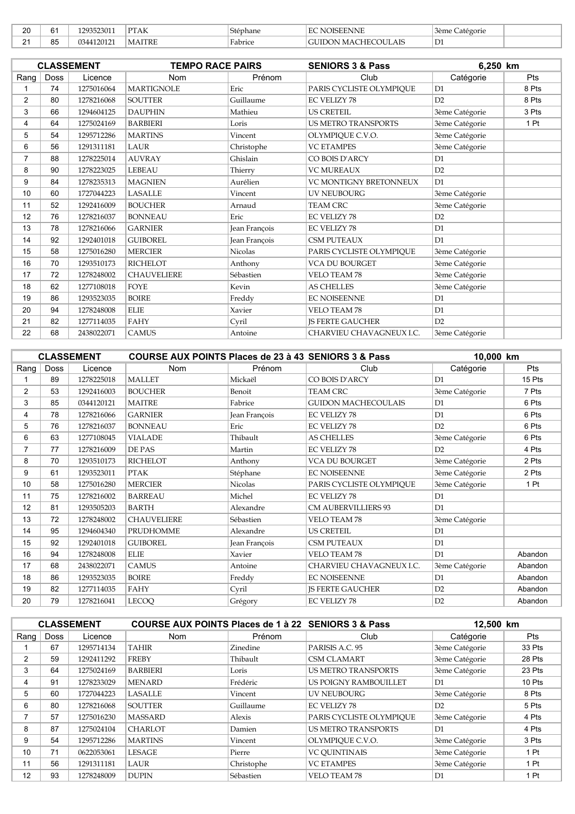| $\sim$<br>∠∪ | $\sim$<br>o | 1293523011                          | DTAT<br>TAK       | Stephane            | $\pi$ $\pi$<br>NNE<br>н                                   | $\sim$<br>3ème<br>Categorie |  |
|--------------|-------------|-------------------------------------|-------------------|---------------------|-----------------------------------------------------------|-----------------------------|--|
| $\sim$<br>-  | QF.<br>ບບ   | .4412012<br>$\Omega_{\Delta\Delta}$ | <b>TRE</b><br>MAI | $\sim$ 1<br>Fabrice | $\cap$ the $\cap$<br>.<br>'HF(<br>Ж<br>MAC<br>LAIS<br>ιτι | $\mathbf{r}$<br>∣ ∟ ⊥       |  |

|                |      | <b>CLASSEMENT</b> | <b>TEMPO RACE PAIRS</b> |                      | <b>SENIORS 3 &amp; Pass</b>   | 6,250 km       |       |
|----------------|------|-------------------|-------------------------|----------------------|-------------------------------|----------------|-------|
| Rang           | Doss | Licence           | <b>Nom</b>              | Prénom               | Club                          | Catégorie      | Pts   |
|                | 74   | 1275016064        | <b>MARTIGNOLE</b>       | Eric                 | PARIS CYCLISTE OLYMPIQUE      | D <sub>1</sub> | 8 Pts |
| $\overline{2}$ | 80   | 1278216068        | <b>SOUTTER</b>          | Guillaume            | <b>EC VELIZY 78</b>           | D2             | 8 Pts |
| 3              | 66   | 1294604125        | <b>DAUPHIN</b>          | Mathieu              | <b>US CRETEIL</b>             | 3ème Catégorie | 3 Pts |
| 4              | 64   | 1275024169        | <b>BARBIERI</b>         | Loris                | <b>US METRO TRANSPORTS</b>    | 3ème Catégorie | 1 Pt  |
| 5              | 54   | 1295712286        | <b>MARTINS</b>          | Vincent              | OLYMPIQUE C.V.O.              | 3ème Catégorie |       |
| 6              | 56   | 1291311181        | <b>LAUR</b>             | Christophe           | <b>VC ETAMPES</b>             | 3ème Catégorie |       |
| $\overline{7}$ | 88   | 1278225014        | <b>AUVRAY</b>           | Ghislain             | CO BOIS D'ARCY                | D1             |       |
| 8              | 90   | 1278223025        | LEBEAU                  | Thierry              | <b>VC MUREAUX</b>             | D2             |       |
| 9              | 84   | 1278235313        | <b>MAGNIEN</b>          | Aurélien             | <b>VC MONTIGNY BRETONNEUX</b> | D1             |       |
| 10             | 60   | 1727044223        | LASALLE                 | Vincent              | <b>UV NEUBOURG</b>            | 3ème Catégorie |       |
| 11             | 52   | 1292416009        | <b>BOUCHER</b>          | Arnaud               | <b>TEAM CRC</b>               | 3ème Catégorie |       |
| 12             | 76   | 1278216037        | <b>BONNEAU</b>          | Eric                 | <b>EC VELIZY 78</b>           | D2             |       |
| 13             | 78   | 1278216066        | <b>GARNIER</b>          | <b>Jean Francois</b> | <b>EC VELIZY 78</b>           | D1             |       |
| 14             | 92   | 1292401018        | <b>GUIBOREL</b>         | Jean François        | <b>CSM PUTEAUX</b>            | D <sub>1</sub> |       |
| 15             | 58   | 1275016280        | <b>MERCIER</b>          | <b>Nicolas</b>       | PARIS CYCLISTE OLYMPIQUE      | 3ème Catégorie |       |
| 16             | 70   | 1293510173        | <b>RICHELOT</b>         | Anthony              | <b>VCA DU BOURGET</b>         | 3ème Catégorie |       |
| 17             | 72   | 1278248002        | <b>CHAUVELIERE</b>      | Sébastien            | <b>VELO TEAM 78</b>           | 3ème Catégorie |       |
| 18             | 62   | 1277108018        | <b>FOYE</b>             | Kevin                | <b>AS CHELLES</b>             | 3ème Catégorie |       |
| 19             | 86   | 1293523035        | <b>BOIRE</b>            | Freddy               | <b>EC NOISEENNE</b>           | D <sub>1</sub> |       |
| 20             | 94   | 1278248008        | <b>ELIE</b>             | Xavier               | <b>VELO TEAM 78</b>           | D1             |       |
| 21             | 82   | 1277114035        | <b>FAHY</b>             | Cyril                | <b>IS FERTE GAUCHER</b>       | D2             |       |
| 22             | 68   | 2438022071        | <b>CAMUS</b>            | Antoine              | CHARVIEU CHAVAGNEUX I.C.      | 3ème Catégorie |       |

|                |             | <b>CLASSEMENT</b> | COURSE AUX POINTS Places de 23 à 43 SENIORS 3 & Pass |                |                            | 10,000 km      |         |
|----------------|-------------|-------------------|------------------------------------------------------|----------------|----------------------------|----------------|---------|
| Rang           | <b>Doss</b> | Licence           | <b>Nom</b>                                           | Prénom         | Club                       | Catégorie      | Pts     |
|                | 89          | 1278225018        | <b>MALLET</b>                                        | Mickaël        | CO BOIS D'ARCY             | D1             | 15 Pts  |
| $\overline{2}$ | 53          | 1292416003        | <b>BOUCHER</b>                                       | Benoit         | <b>TEAM CRC</b>            | 3ème Catégorie | 7 Pts   |
| 3              | 85          | 0344120121        | <b>MAITRE</b>                                        | Fabrice        | <b>GUIDON MACHECOULAIS</b> | D <sub>1</sub> | 6 Pts   |
| 4              | 78          | 1278216066        | <b>GARNIER</b>                                       | Jean François  | <b>EC VELIZY 78</b>        | D1             | 6 Pts   |
| 5              | 76          | 1278216037        | <b>BONNEAU</b>                                       | Eric           | <b>EC VELIZY 78</b>        | D2             | 6 Pts   |
| 6              | 63          | 1277108045        | <b>VIALADE</b>                                       | Thibault       | <b>AS CHELLES</b>          | 3ème Catégorie | 6 Pts   |
| $\overline{7}$ | 77          | 1278216009        | DE PAS                                               | Martin         | <b>EC VELIZY 78</b>        | D2             | 4 Pts   |
| 8              | 70          | 1293510173        | <b>RICHELOT</b>                                      | Anthony        | <b>VCA DU BOURGET</b>      | 3ème Catégorie | 2 Pts   |
| 9              | 61          | 1293523011        | <b>PTAK</b>                                          | Stéphane       | <b>EC NOISEENNE</b>        | 3ème Catégorie | 2 Pts   |
| 10             | 58          | 1275016280        | <b>MERCIER</b>                                       | <b>Nicolas</b> | PARIS CYCLISTE OLYMPIOUE   | 3ème Catégorie | 1 Pt    |
| 11             | 75          | 1278216002        | <b>BARREAU</b>                                       | Michel         | <b>EC VELIZY 78</b>        | D1             |         |
| 12             | 81          | 1293505203        | <b>BARTH</b>                                         | Alexandre      | <b>CM AUBERVILLIERS 93</b> | D1             |         |
| 13             | 72          | 1278248002        | <b>CHAUVELIERE</b>                                   | Sébastien      | <b>VELO TEAM 78</b>        | 3ème Catégorie |         |
| 14             | 95          | 1294604340        | PRUDHOMME                                            | Alexandre      | <b>US CRETEIL</b>          | D <sub>1</sub> |         |
| 15             | 92          | 1292401018        | <b>GUIBOREL</b>                                      | Jean François  | <b>CSM PUTEAUX</b>         | D1             |         |
| 16             | 94          | 1278248008        | <b>ELIE</b>                                          | Xavier         | VELO TEAM 78               | D1             | Abandon |
| 17             | 68          | 2438022071        | <b>CAMUS</b>                                         | Antoine        | CHARVIEU CHAVAGNEUX I.C.   | 3ème Catégorie | Abandon |
| 18             | 86          | 1293523035        | <b>BOIRE</b>                                         | Freddy         | <b>EC NOISEENNE</b>        | D1             | Abandon |
| 19             | 82          | 1277114035        | <b>FAHY</b>                                          | Cyril          | <b>JS FERTE GAUCHER</b>    | D2             | Abandon |
| 20             | 79          | 1278216041        | <b>LECOQ</b>                                         | Grégory        | <b>EC VELIZY 78</b>        | D2             | Abandon |

|               | <b>CLASSEMENT</b> |            | COURSE AUX POINTS Places de 1 à 22 SENIORS 3 & Pass |            |                            | 12.500 km      |            |
|---------------|-------------------|------------|-----------------------------------------------------|------------|----------------------------|----------------|------------|
| Rang          | <b>Doss</b>       | Licence    | <b>Nom</b>                                          | Prénom     | Club                       | Catégorie      | <b>Pts</b> |
|               | 67                | 1295714134 | TAHIR                                               | Zinedine   | PARISIS A.C. 95            | 3ème Catégorie | 33 Pts     |
| $\mathcal{P}$ | 59                | 1292411292 | <b>FREBY</b>                                        | Thibault   | <b>CSM CLAMART</b>         | 3ème Catégorie | 28 Pts     |
| 3             | 64                | 1275024169 | <b>BARBIERI</b>                                     | Loris      | <b>US METRO TRANSPORTS</b> | 3ème Catégorie | 23 Pts     |
| 4             | 91                | 1278233029 | <b>MENARD</b>                                       | Frédéric   | US POIGNY RAMBOUILLET      | D <sub>1</sub> | 10 Pts     |
| 5             | 60                | 1727044223 | <b>LASALLE</b>                                      | Vincent    | <b>UV NEUBOURG</b>         | 3ème Catégorie | 8 Pts      |
| 6             | 80                | 1278216068 | <b>SOUTTER</b>                                      | Guillaume  | <b>EC VELIZY 78</b>        | D2             | 5 Pts      |
|               | 57                | 1275016230 | <b>MASSARD</b>                                      | Alexis     | PARIS CYCLISTE OLYMPIOUE   | 3ème Catégorie | 4 Pts      |
| 8             | 87                | 1275024104 | <b>CHARLOT</b>                                      | Damien     | <b>US METRO TRANSPORTS</b> | D <sub>1</sub> | 4 Pts      |
| 9             | 54                | 1295712286 | <b>MARTINS</b>                                      | Vincent    | OLYMPIOUE C.V.O.           | 3ème Catégorie | 3 Pts      |
| 10            | 71                | 0622053061 | <b>LESAGE</b>                                       | Pierre     | <b>VC OUINTINAIS</b>       | 3ème Catégorie | 1 Pt       |
| 11            | 56                | 1291311181 | LAUR                                                | Christophe | <b>VC ETAMPES</b>          | 3ème Catégorie | 1 Pt       |
| 12            | 93                | 1278248009 | <b>DUPIN</b>                                        | Sébastien  | <b>VELO TEAM 78</b>        | D <sub>1</sub> | 1 Pt       |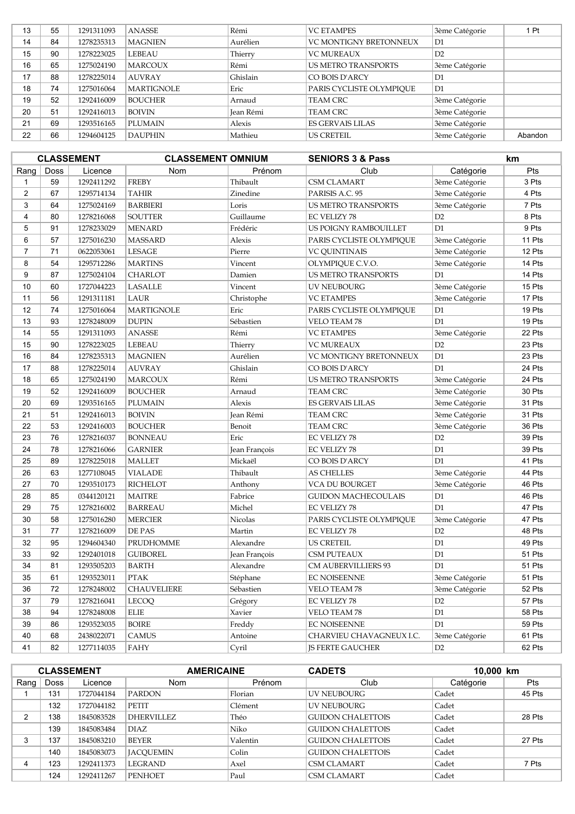| 13 | 55 | 1291311093 | <b>ANASSE</b>     | Rémi      | <b>VC ETAMPES</b>          | 3ème Catégorie | 1 Pt    |
|----|----|------------|-------------------|-----------|----------------------------|----------------|---------|
| 14 | 84 | 1278235313 | <b>MAGNIEN</b>    | Aurélien  | VC MONTIGNY BRETONNEUX     | D1             |         |
| 15 | 90 | 1278223025 | LEBEAU            | Thierry   | <b>VC MUREAUX</b>          | D2             |         |
| 16 | 65 | 1275024190 | <b>MARCOUX</b>    | Rémi      | <b>US METRO TRANSPORTS</b> | 3ème Catégorie |         |
| 17 | 88 | 1278225014 | <b>AUVRAY</b>     | Ghislain  | CO BOIS D'ARCY             | D1             |         |
| 18 | 74 | 1275016064 | <b>MARTIGNOLE</b> | Eric      | PARIS CYCLISTE OLYMPIOUE   | D1             |         |
| 19 | 52 | 1292416009 | <b>BOUCHER</b>    | Arnaud    | <b>TEAM CRC</b>            | 3ème Catégorie |         |
| 20 | 51 | 1292416013 | <b>BOIVIN</b>     | Jean Rémi | <b>TEAM CRC</b>            | 3ème Catégorie |         |
| 21 | 69 | 1293516165 | <b>PLUMAIN</b>    | Alexis    | ES GERVAIS LILAS           | 3ème Catégorie |         |
| 22 | 66 | 1294604125 | <b>DAUPHIN</b>    | Mathieu   | <b>US CRETEIL</b>          | 3ème Catégorie | Abandon |

|                |             | <b>CLASSEMENT</b> | <b>CLASSEMENT OMNIUM</b> |               | <b>SENIORS 3 &amp; Pass</b> |                | km     |
|----------------|-------------|-------------------|--------------------------|---------------|-----------------------------|----------------|--------|
| Rang           | <b>Doss</b> | Licence           | Nom                      | Prénom        | Club                        | Catégorie      | Pts    |
| $\mathbf{1}$   | 59          | 1292411292        | <b>FREBY</b>             | Thibault      | <b>CSM CLAMART</b>          | 3ème Catégorie | 3 Pts  |
| 2              | 67          | 1295714134        | <b>TAHIR</b>             | Zinedine      | PARISIS A.C. 95             | 3ème Catégorie | 4 Pts  |
| 3              | 64          | 1275024169        | <b>BARBIERI</b>          | Loris         | US METRO TRANSPORTS         | 3ème Catégorie | 7 Pts  |
| $\overline{4}$ | 80          | 1278216068        | <b>SOUTTER</b>           | Guillaume     | EC VELIZY 78                | D <sub>2</sub> | 8 Pts  |
| $\mathbf 5$    | 91          | 1278233029        | <b>MENARD</b>            | Frédéric      | US POIGNY RAMBOUILLET       | D1             | 9 Pts  |
| 6              | 57          | 1275016230        | <b>MASSARD</b>           | Alexis        | PARIS CYCLISTE OLYMPIQUE    | 3ème Catégorie | 11 Pts |
| $\overline{7}$ | 71          | 0622053061        | LESAGE                   | Pierre        | <b>VC QUINTINAIS</b>        | 3ème Catégorie | 12 Pts |
| 8              | 54          | 1295712286        | <b>MARTINS</b>           | Vincent       | OLYMPIQUE C.V.O.            | 3ème Catégorie | 14 Pts |
| 9              | 87          | 1275024104        | <b>CHARLOT</b>           | Damien        | US METRO TRANSPORTS         | D1             | 14 Pts |
| 10             | 60          | 1727044223        | <b>LASALLE</b>           | Vincent       | UV NEUBOURG                 | 3ème Catégorie | 15 Pts |
| 11             | 56          | 1291311181        | LAUR                     | Christophe    | <b>VC ETAMPES</b>           | 3ème Catégorie | 17 Pts |
| 12             | 74          | 1275016064        | <b>MARTIGNOLE</b>        | Eric          | PARIS CYCLISTE OLYMPIQUE    | D1             | 19 Pts |
| 13             | 93          | 1278248009        | <b>DUPIN</b>             | Sébastien     | <b>VELO TEAM 78</b>         | D1             | 19 Pts |
| 14             | 55          | 1291311093        | <b>ANASSE</b>            | Rémi          | <b>VC ETAMPES</b>           | 3ème Catégorie | 22 Pts |
| 15             | 90          | 1278223025        | LEBEAU                   | Thierry       | <b>VC MUREAUX</b>           | D2             | 23 Pts |
| 16             | 84          | 1278235313        | <b>MAGNIEN</b>           | Aurélien      | VC MONTIGNY BRETONNEUX      | D <sub>1</sub> | 23 Pts |
| 17             | 88          | 1278225014        | <b>AUVRAY</b>            | Ghislain      | CO BOIS D'ARCY              | D1             | 24 Pts |
| 18             | 65          | 1275024190        | <b>MARCOUX</b>           | Rémi          | US METRO TRANSPORTS         | 3ème Catégorie | 24 Pts |
| 19             | 52          | 1292416009        | <b>BOUCHER</b>           | Arnaud        | TEAM CRC                    | 3ème Catégorie | 30 Pts |
| 20             | 69          | 1293516165        | <b>PLUMAIN</b>           | Alexis        | <b>ES GERVAIS LILAS</b>     | 3ème Catégorie | 31 Pts |
| 21             | 51          | 1292416013        | <b>BOIVIN</b>            | Jean Rémi     | <b>TEAM CRC</b>             | 3ème Catégorie | 31 Pts |
| 22             | 53          | 1292416003        | <b>BOUCHER</b>           | Benoit        | <b>TEAM CRC</b>             | 3ème Catégorie | 36 Pts |
| 23             | 76          | 1278216037        | <b>BONNEAU</b>           | Eric          | <b>EC VELIZY 78</b>         | D2             | 39 Pts |
| 24             | 78          | 1278216066        | <b>GARNIER</b>           | Jean François | EC VELIZY 78                | D1             | 39 Pts |
| 25             | 89          | 1278225018        | <b>MALLET</b>            | Mickaël       | CO BOIS D'ARCY              | D <sub>1</sub> | 41 Pts |
| 26             | 63          | 1277108045        | <b>VIALADE</b>           | Thibault      | <b>AS CHELLES</b>           | 3ème Catégorie | 44 Pts |
| 27             | 70          | 1293510173        | <b>RICHELOT</b>          | Anthony       | <b>VCA DU BOURGET</b>       | 3ème Catégorie | 46 Pts |
| 28             | 85          | 0344120121        | <b>MAITRE</b>            | Fabrice       | <b>GUIDON MACHECOULAIS</b>  | D <sub>1</sub> | 46 Pts |
| 29             | 75          | 1278216002        | <b>BARREAU</b>           | Michel        | <b>EC VELIZY 78</b>         | D1             | 47 Pts |
| 30             | 58          | 1275016280        | <b>MERCIER</b>           | Nicolas       | PARIS CYCLISTE OLYMPIQUE    | 3ème Catégorie | 47 Pts |
| 31             | 77          | 1278216009        | DE PAS                   | Martin        | <b>EC VELIZY 78</b>         | D2             | 48 Pts |
| 32             | 95          | 1294604340        | PRUDHOMME                | Alexandre     | US CRETEIL                  | D <sub>1</sub> | 49 Pts |
| 33             | 92          | 1292401018        | <b>GUIBOREL</b>          | Jean François | CSM PUTEAUX                 | D1             | 51 Pts |
| 34             | 81          | 1293505203        | <b>BARTH</b>             | Alexandre     | CM AUBERVILLIERS 93         | D1             | 51 Pts |
| 35             | 61          | 1293523011        | <b>PTAK</b>              | Stéphane      | <b>EC NOISEENNE</b>         | 3ème Catégorie | 51 Pts |
| 36             | 72          | 1278248002        | <b>CHAUVELIERE</b>       | Sébastien     | <b>VELO TEAM 78</b>         | 3ème Catégorie | 52 Pts |
| 37             | 79          | 1278216041        | LECOQ                    | Grégory       | EC VELIZY 78                | D2             | 57 Pts |
| 38             | 94          | 1278248008        | <b>ELIE</b>              | Xavier        | VELO TEAM 78                | D1             | 58 Pts |
| 39             | 86          | 1293523035        | <b>BOIRE</b>             | Freddy        | <b>EC NOISEENNE</b>         | D <sub>1</sub> | 59 Pts |
| 40             | 68          | 2438022071        | <b>CAMUS</b>             | Antoine       | CHARVIEU CHAVAGNEUX I.C.    | 3ème Catégorie | 61 Pts |
| 41             | 82          | 1277114035        | <b>FAHY</b>              | Cyril         | <b>IS FERTE GAUCHER</b>     | D2             | 62 Pts |

| <b>CLASSEMENT</b> |             |            | <b>AMERICAINE</b> |          | <b>CADETS</b><br>10,000 km |           |        |
|-------------------|-------------|------------|-------------------|----------|----------------------------|-----------|--------|
| Rang              | <b>Doss</b> | Licence    | <b>Nom</b>        | Prénom   | Club                       | Catégorie | Pts    |
|                   | 131         | 1727044184 | <b>PARDON</b>     | Florian  | LIV NEUBOURG               | Cadet     | 45 Pts |
|                   | 132         | 1727044182 | <b>PETIT</b>      | Clément  | <b>UV NEUBOURG</b>         | Cadet     |        |
| C                 | 138         | 1845083528 | DHERVILLEZ        | Théo     | <b>GUIDON CHALETTOIS</b>   | Cadet     | 28 Pts |
|                   | 139         | 1845083484 | <b>DIAZ</b>       | Niko     | <b>GUIDON CHALETTOIS</b>   | Cadet     |        |
| 3                 | 137         | 1845083210 | <b>BEYER</b>      | Valentin | <b>GUIDON CHALETTOIS</b>   | Cadet     | 27 Pts |
|                   | 140         | 1845083073 | <b>JACOUEMIN</b>  | Colin    | <b>GUIDON CHALETTOIS</b>   | Cadet     |        |
|                   | 123         | 1292411373 | <b>LEGRAND</b>    | Axel     | <b>CSM CLAMART</b>         | Cadet     | 7 Pts  |
|                   | 124         | 1292411267 | <b>PENHOET</b>    | Paul     | <b>CSM CLAMART</b>         | Cadet     |        |